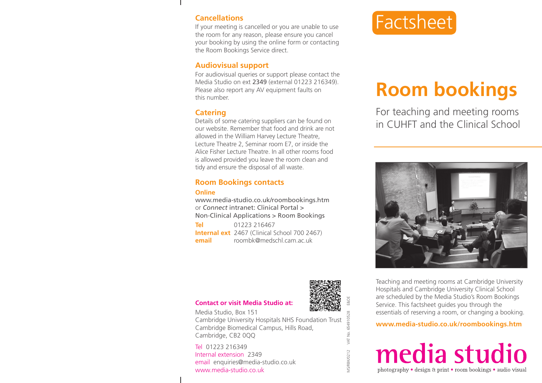## **Cancellations**

If your meeting is cancelled or you are unable to use the room for any reason, please ensure you cancel your booking by using the online form or contacting the Room Bookings Service direct.

## **Audiovisual support**

For audiovisual queries or support please contact the Media Studio on ext 2349 (external 01223 216349). Please also report any AV equipment faults on this number.

# **Catering**

Details of some catering suppliers can be found on our website. Remember that food and drink are not allowed in the William Harvey Lecture Theatre, Lecture Theatre 2, Seminar room E7, or inside the Alice Fisher Lecture Theatre. In all other rooms food is allowed provided you leave the room clean and tidy and ensure the disposal of all waste.

# **Room Bookings contacts**

#### **Online**

www.media-studio.co.uk/roombookings.htm or *Connect* intranet: Clinical Portal > Non-Clinical Applications > Room Bookings

**Tel** 01223 216467 **Internal ext** 2467 (Clinical School 700 2467) **email** roombk@medschl.cam.ac.uk



Factsheet

# **Room bookings**

For teaching and meeting rooms in CUHFT and the Clinical School



Teaching and meeting rooms at Cambridge University Hospitals and Cambridge University Clinical School are scheduled by the Media Studio's Room Bookings Service. This factsheet guides you through the essentials of reserving a room, or changing a booking.

**www.media-studio.co.uk/roombookings.htm**



### **Contact or visit Media Studio at:**

Media Studio, Box 151 Cambridge University Hospitals NHS Foundation Trust Cambridge Biomedical Campus, Hills Road, Cambridge, CB2 0QQ

Tel 01223 216349 Internal extension 2349 email enquiries@media-studio.co.uk www.media-studio.co.uk



MS/RBK/0212 VAT No. 654910528 E&OE

VAT No.

**AS/RBK/0212** 

654910528